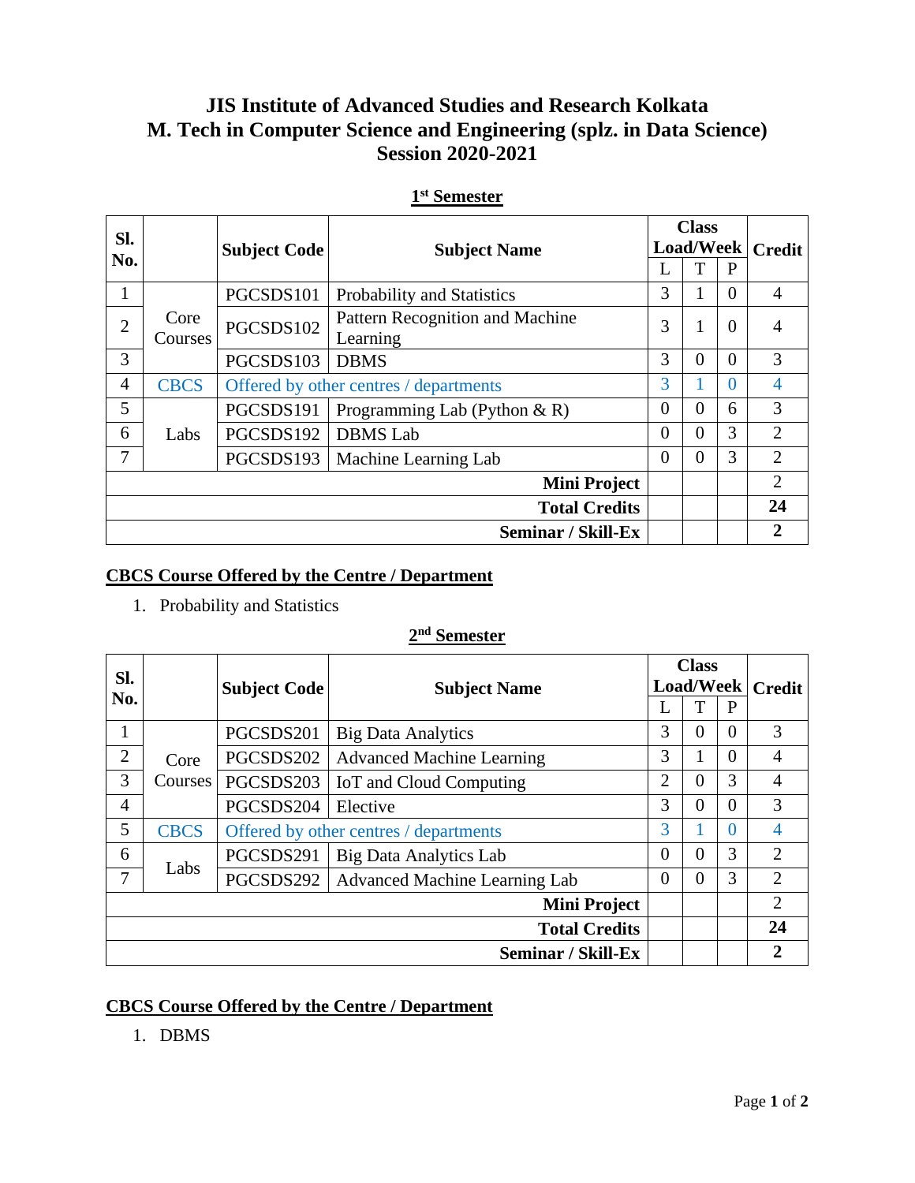# **JIS Institute of Advanced Studies and Research Kolkata M. Tech in Computer Science and Engineering (splz. in Data Science) Session 2020-2021**

| Sl.            |             | <b>Subject Code</b>                    | <b>Subject Name</b>             | <b>Class</b> |                                                                                  |               |                |
|----------------|-------------|----------------------------------------|---------------------------------|--------------|----------------------------------------------------------------------------------|---------------|----------------|
| No.            |             |                                        |                                 |              |                                                                                  | <b>Credit</b> |                |
|                |             |                                        |                                 |              |                                                                                  | P             |                |
| 1              |             | PGCSDS101                              | Probability and Statistics      | 3            |                                                                                  | $\Omega$      | 4              |
| $\overline{2}$ | Core        | PGCSDS102                              | Pattern Recognition and Machine | 3            |                                                                                  |               | 4              |
|                | Courses     |                                        | Learning                        |              | <b>Load/Week</b><br>$\theta$<br>$\theta$<br>0<br>0<br>0<br>6<br>3<br>0<br>3<br>0 |               |                |
| 3              |             | PGCSDS103                              | <b>DBMS</b>                     | 3            |                                                                                  |               | 3              |
| 4              | <b>CBCS</b> | Offered by other centres / departments |                                 | 3            |                                                                                  |               | 4              |
| 5              |             | PGCSDS191                              | Programming Lab (Python & R)    | $\Omega$     |                                                                                  |               | 3              |
| 6              | Labs        | PGCSDS192                              | <b>DBMS</b> Lab                 | $\theta$     |                                                                                  |               | $\overline{2}$ |
| 7              |             | PGCSDS193                              | Machine Learning Lab            | $\Omega$     |                                                                                  |               | $\overline{2}$ |
|                |             |                                        | <b>Mini Project</b>             |              |                                                                                  |               | $\overline{2}$ |
|                |             |                                        | <b>Total Credits</b>            |              |                                                                                  |               | 24             |
|                |             |                                        | <b>Seminar / Skill-Ex</b>       |              |                                                                                  |               | $\mathbf 2$    |

### **1 st Semester**

# **CBCS Course Offered by the Centre / Department**

1. Probability and Statistics

### **2 nd Semester**

| Sl. |                |                                        | <b>Subject Name</b>                  | <b>Class</b>   |                  |               |                |
|-----|----------------|----------------------------------------|--------------------------------------|----------------|------------------|---------------|----------------|
|     |                | <b>Subject Code</b>                    |                                      |                | <b>Load/Week</b> | <b>Credit</b> |                |
| No. |                |                                        |                                      | L              | T                | P             |                |
| 1   |                | PGCSDS201                              | <b>Big Data Analytics</b>            | 3              | $\Omega$         | $\Omega$      | 3              |
| 2   | Core           | PGCSDS202                              | <b>Advanced Machine Learning</b>     | 3              |                  | $\Omega$      | 4              |
| 3   | <b>Courses</b> | PGCSDS203                              | IoT and Cloud Computing              | $\overline{2}$ | 0                | 3             | 4              |
| 4   |                | PGCSDS204                              | Elective                             | 3              | 0                | $\Omega$      | 3              |
| 5   | <b>CBCS</b>    | Offered by other centres / departments |                                      | 3              |                  | $\Omega$      | 4              |
| 6   |                | PGCSDS291                              | <b>Big Data Analytics Lab</b>        | $\overline{0}$ | $\theta$         | 3             | $\overline{2}$ |
| 7   | Labs           | PGCSDS292                              | <b>Advanced Machine Learning Lab</b> | $\theta$       | $\theta$         | 3             | $\overline{2}$ |
|     |                |                                        | <b>Mini Project</b>                  |                |                  |               | $\overline{2}$ |
|     |                |                                        | <b>Total Credits</b>                 |                |                  |               | 24             |
|     |                |                                        | Seminar / Skill-Ex                   |                |                  |               | $\overline{2}$ |

# **CBCS Course Offered by the Centre / Department**

1. DBMS